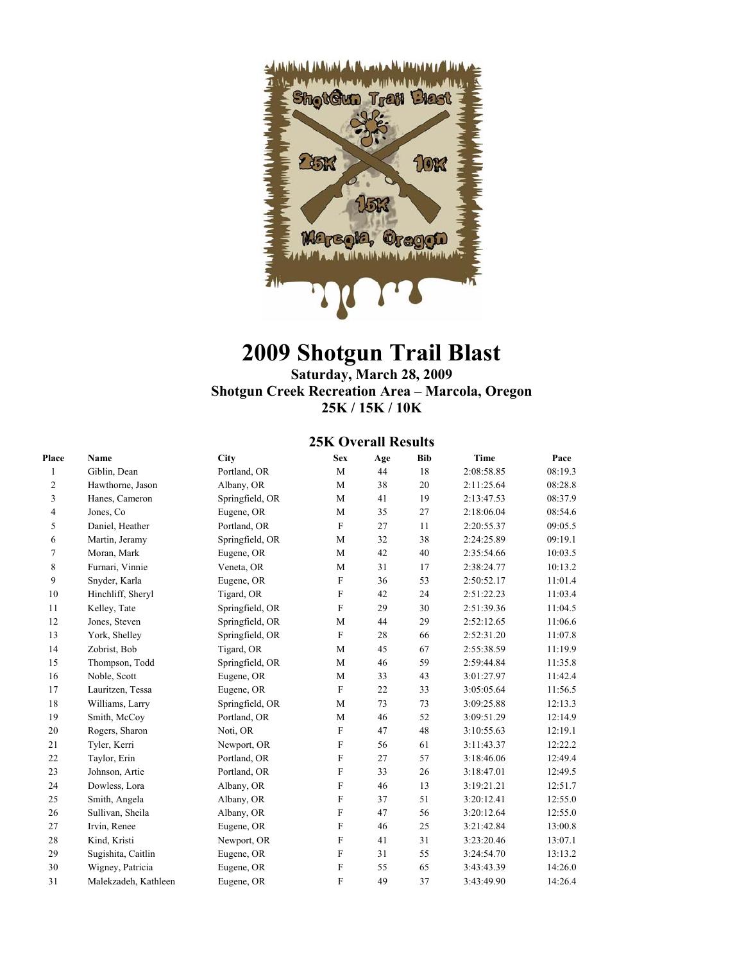

# **2009 Shotgun Trail Blast**

#### **Saturday, March 28, 2009 Shotgun Creek Recreation Area – Marcola, Oregon 25K / 15K / 10K**

### **25K Overall Results**

| Place                   | Name                 | <b>City</b>     | <b>Sex</b>   | Age | <b>Bib</b> | <b>Time</b> | Pace    |
|-------------------------|----------------------|-----------------|--------------|-----|------------|-------------|---------|
| 1                       | Giblin, Dean         | Portland, OR    | M            | 44  | 18         | 2:08:58.85  | 08:19.3 |
| 2                       | Hawthorne, Jason     | Albany, OR      | M            | 38  | 20         | 2:11:25.64  | 08:28.8 |
| 3                       | Hanes, Cameron       | Springfield, OR | M            | 41  | 19         | 2:13:47.53  | 08:37.9 |
| $\overline{\mathbf{4}}$ | Jones, Co            | Eugene, OR      | M            | 35  | 27         | 2:18:06.04  | 08:54.6 |
| 5                       | Daniel, Heather      | Portland, OR    | $\mathbf{F}$ | 27  | 11         | 2:20:55.37  | 09:05.5 |
| 6                       | Martin, Jeramy       | Springfield, OR | M            | 32  | 38         | 2:24:25.89  | 09:19.1 |
| 7                       | Moran, Mark          | Eugene, OR      | M            | 42  | 40         | 2:35:54.66  | 10:03.5 |
| 8                       | Furnari, Vinnie      | Veneta, OR      | M            | 31  | 17         | 2:38:24.77  | 10:13.2 |
| 9                       | Snyder, Karla        | Eugene, OR      | F            | 36  | 53         | 2:50:52.17  | 11:01.4 |
| 10                      | Hinchliff, Sheryl    | Tigard, OR      | ${\bf F}$    | 42  | 24         | 2:51:22.23  | 11:03.4 |
| 11                      | Kelley, Tate         | Springfield, OR | $\mathbf{F}$ | 29  | 30         | 2:51:39.36  | 11:04.5 |
| 12                      | Jones, Steven        | Springfield, OR | M            | 44  | 29         | 2:52:12.65  | 11:06.6 |
| 13                      | York, Shelley        | Springfield, OR | ${\bf F}$    | 28  | 66         | 2:52:31.20  | 11:07.8 |
| 14                      | Zobrist, Bob         | Tigard, OR      | M            | 45  | 67         | 2:55:38.59  | 11:19.9 |
| 15                      | Thompson, Todd       | Springfield, OR | M            | 46  | 59         | 2:59:44.84  | 11:35.8 |
| 16                      | Noble, Scott         | Eugene, OR      | M            | 33  | 43         | 3:01:27.97  | 11:42.4 |
| 17                      | Lauritzen, Tessa     | Eugene, OR      | $\mathbf{F}$ | 22  | 33         | 3:05:05.64  | 11:56.5 |
| 18                      | Williams, Larry      | Springfield, OR | M            | 73  | 73         | 3:09:25.88  | 12:13.3 |
| 19                      | Smith, McCoy         | Portland, OR    | M            | 46  | 52         | 3:09:51.29  | 12:14.9 |
| 20                      | Rogers, Sharon       | Noti, OR        | $\mathbf F$  | 47  | 48         | 3:10:55.63  | 12:19.1 |
| 21                      | Tyler, Kerri         | Newport, OR     | $\mathbf{F}$ | 56  | 61         | 3:11:43.37  | 12:22.2 |
| 22                      | Taylor, Erin         | Portland, OR    | F            | 27  | 57         | 3:18:46.06  | 12:49.4 |
| 23                      | Johnson, Artie       | Portland, OR    | F            | 33  | 26         | 3:18:47.01  | 12:49.5 |
| 24                      | Dowless, Lora        | Albany, OR      | F            | 46  | 13         | 3:19:21.21  | 12:51.7 |
| 25                      | Smith, Angela        | Albany, OR      | F            | 37  | 51         | 3:20:12.41  | 12:55.0 |
| 26                      | Sullivan, Sheila     | Albany, OR      | F            | 47  | 56         | 3:20:12.64  | 12:55.0 |
| 27                      | Irvin, Renee         | Eugene, OR      | F            | 46  | 25         | 3:21:42.84  | 13:00.8 |
| 28                      | Kind, Kristi         | Newport, OR     | F            | 41  | 31         | 3:23:20.46  | 13:07.1 |
| 29                      | Sugishita, Caitlin   | Eugene, OR      | F            | 31  | 55         | 3:24:54.70  | 13:13.2 |
| 30                      | Wigney, Patricia     | Eugene, OR      | $\mathbf{F}$ | 55  | 65         | 3:43:43.39  | 14:26.0 |
| 31                      | Malekzadeh, Kathleen | Eugene, OR      | F            | 49  | 37         | 3:43:49.90  | 14:26.4 |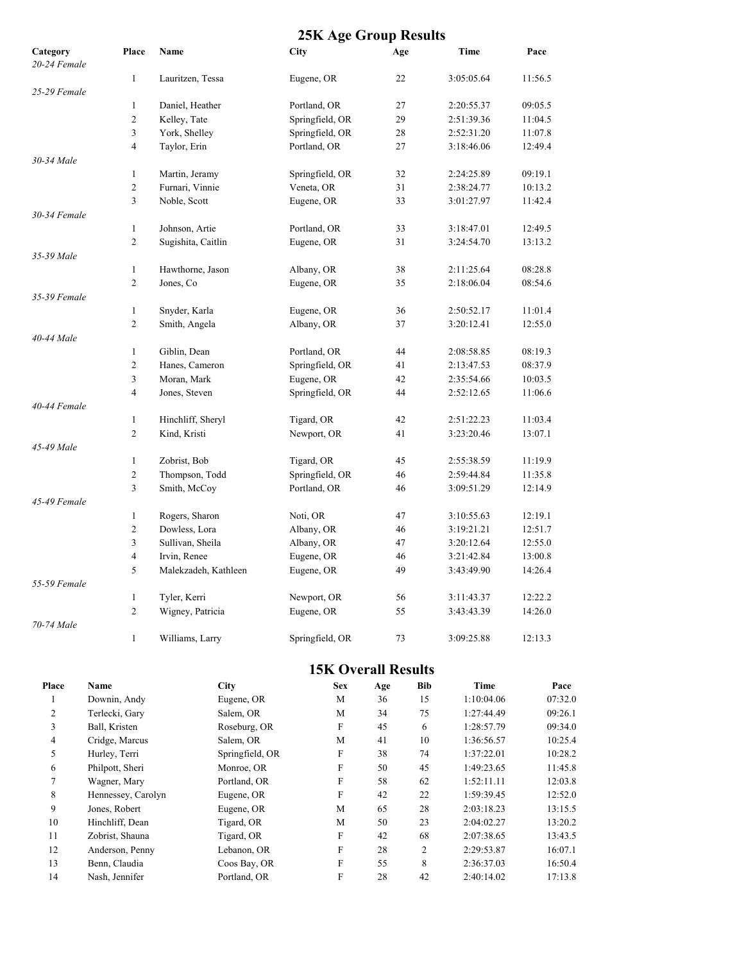### **25K Age Group Results**

| Category     | Place          | Name                 | <b>City</b>     | Age | Time       | Pace    |
|--------------|----------------|----------------------|-----------------|-----|------------|---------|
| 20-24 Female |                |                      |                 |     |            |         |
|              | 1              | Lauritzen, Tessa     | Eugene, OR      | 22  | 3:05:05.64 | 11:56.5 |
| 25-29 Female |                |                      |                 |     |            |         |
|              | $\mathbf{1}$   | Daniel, Heather      | Portland, OR    | 27  | 2:20:55.37 | 09:05.5 |
|              | $\mathfrak{2}$ | Kelley, Tate         | Springfield, OR | 29  | 2:51:39.36 | 11:04.5 |
|              | 3              | York, Shelley        | Springfield, OR | 28  | 2:52:31.20 | 11:07.8 |
|              | $\overline{4}$ | Taylor, Erin         | Portland, OR    | 27  | 3:18:46.06 | 12:49.4 |
| 30-34 Male   |                |                      |                 |     |            |         |
|              | $\mathbf{1}$   | Martin, Jeramy       | Springfield, OR | 32  | 2:24:25.89 | 09:19.1 |
|              | $\overline{c}$ | Furnari, Vinnie      | Veneta, OR      | 31  | 2:38:24.77 | 10:13.2 |
|              | 3              | Noble, Scott         | Eugene, OR      | 33  | 3:01:27.97 | 11:42.4 |
| 30-34 Female |                |                      |                 |     |            |         |
|              | 1              | Johnson, Artie       | Portland, OR    | 33  | 3:18:47.01 | 12:49.5 |
|              | $\overline{c}$ | Sugishita, Caitlin   | Eugene, OR      | 31  | 3:24:54.70 | 13:13.2 |
| 35-39 Male   |                |                      |                 |     |            |         |
|              | $\mathbf{1}$   | Hawthorne, Jason     | Albany, OR      | 38  | 2:11:25.64 | 08:28.8 |
|              | $\overline{c}$ | Jones, Co            | Eugene, OR      | 35  | 2:18:06.04 | 08:54.6 |
| 35-39 Female |                |                      |                 |     |            |         |
|              | $\mathbf{1}$   | Snyder, Karla        | Eugene, OR      | 36  | 2:50:52.17 | 11:01.4 |
|              | $\overline{2}$ | Smith, Angela        | Albany, OR      | 37  | 3:20:12.41 | 12:55.0 |
| 40-44 Male   |                |                      |                 |     |            |         |
|              | $\mathbf{1}$   | Giblin, Dean         | Portland, OR    | 44  | 2:08:58.85 | 08:19.3 |
|              | $\mathfrak{2}$ | Hanes, Cameron       | Springfield, OR | 41  | 2:13:47.53 | 08:37.9 |
|              | 3              | Moran, Mark          | Eugene, OR      | 42  | 2:35:54.66 | 10:03.5 |
|              | $\overline{4}$ | Jones, Steven        | Springfield, OR | 44  | 2:52:12.65 | 11:06.6 |
| 40-44 Female |                |                      |                 |     |            |         |
|              | $\mathbf{1}$   | Hinchliff, Sheryl    | Tigard, OR      | 42  | 2:51:22.23 | 11:03.4 |
|              | $\overline{c}$ | Kind, Kristi         | Newport, OR     | 41  | 3:23:20.46 | 13:07.1 |
| 45-49 Male   |                |                      |                 |     |            |         |
|              | $\mathbf{1}$   | Zobrist, Bob         | Tigard, OR      | 45  | 2:55:38.59 | 11:19.9 |
|              | $\mathfrak{2}$ | Thompson, Todd       | Springfield, OR | 46  | 2:59:44.84 | 11:35.8 |
|              | 3              | Smith, McCoy         | Portland, OR    | 46  | 3:09:51.29 | 12:14.9 |
| 45-49 Female |                |                      |                 |     |            |         |
|              | 1              | Rogers, Sharon       | Noti, OR        | 47  | 3:10:55.63 | 12:19.1 |
|              | $\overline{c}$ | Dowless, Lora        | Albany, OR      | 46  | 3:19:21.21 | 12:51.7 |
|              | 3              | Sullivan, Sheila     | Albany, OR      | 47  | 3:20:12.64 | 12:55.0 |
|              | $\overline{4}$ | Irvin, Renee         | Eugene, OR      | 46  | 3:21:42.84 | 13:00.8 |
|              | 5              | Malekzadeh, Kathleen | Eugene, OR      | 49  | 3:43:49.90 | 14:26.4 |
| 55-59 Female |                |                      |                 |     |            |         |
|              | $\mathbf{1}$   | Tyler, Kerri         | Newport, OR     | 56  | 3:11:43.37 | 12:22.2 |
|              | $\overline{c}$ | Wigney, Patricia     | Eugene, OR      | 55  | 3:43:43.39 | 14:26.0 |
| 70-74 Male   |                |                      |                 |     |            |         |
|              | $\mathbf{1}$   | Williams, Larry      | Springfield, OR | 73  | 3:09:25.88 | 12:13.3 |
|              |                |                      |                 |     |            |         |

### **15K Overall Results**

| Place | <b>Name</b>        | <b>City</b>     | <b>Sex</b> | Age | <b>Bib</b>     | Time       | Pace    |
|-------|--------------------|-----------------|------------|-----|----------------|------------|---------|
|       | Downin, Andy       | Eugene, OR      | M          | 36  | 15             | 1:10:04.06 | 07:32.0 |
| 2     | Terlecki, Garv     | Salem, OR       | M          | 34  | 75             | 1:27:44.49 | 09:26.1 |
| 3     | Ball, Kristen      | Roseburg, OR    | F          | 45  | 6              | 1:28:57.79 | 09:34.0 |
| 4     | Cridge, Marcus     | Salem, OR       | M          | 41  | 10             | 1:36:56.57 | 10:25.4 |
| 5     | Hurley, Terri      | Springfield, OR | F          | 38  | 74             | 1:37:22.01 | 10:28.2 |
| 6     | Philpott, Sheri    | Monroe, OR      | F          | 50  | 45             | 1:49:23.65 | 11:45.8 |
|       | Wagner, Mary       | Portland, OR    | F          | 58  | 62             | 1:52:11.11 | 12:03.8 |
| 8     | Hennessey, Carolyn | Eugene, OR      | F          | 42  | 22             | 1:59:39.45 | 12:52.0 |
| 9     | Jones, Robert      | Eugene, OR      | M          | 65  | 28             | 2:03:18.23 | 13:15.5 |
| 10    | Hinchliff, Dean    | Tigard, OR      | M          | 50  | 23             | 2:04:02.27 | 13:20.2 |
| 11    | Zobrist, Shauna    | Tigard, OR      | F          | 42  | 68             | 2:07:38.65 | 13:43.5 |
| 12    | Anderson, Penny    | Lebanon, OR     | F          | 28  | $\overline{c}$ | 2:29:53.87 | 16:07.1 |
| 13    | Benn, Claudia      | Coos Bay, OR    | F          | 55  | 8              | 2:36:37.03 | 16:50.4 |
| 14    | Nash, Jennifer     | Portland, OR    | F          | 28  | 42             | 2:40:14.02 | 17:13.8 |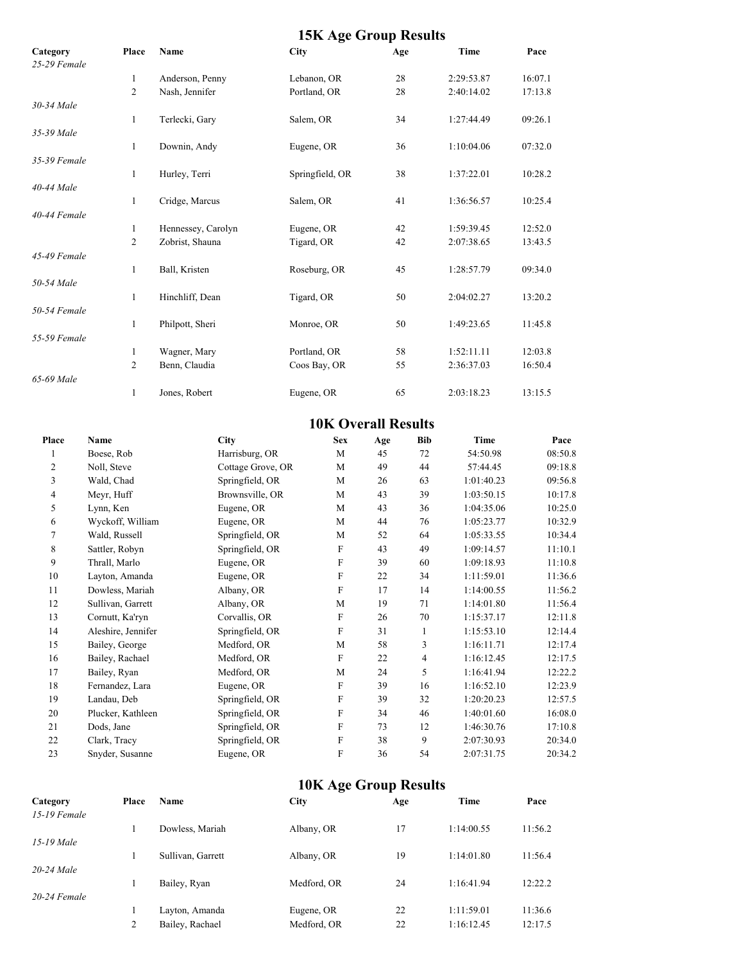|                          |                     |                                       | <b>15K Age Group Results</b> |     |              |                          |         |  |
|--------------------------|---------------------|---------------------------------------|------------------------------|-----|--------------|--------------------------|---------|--|
| Category<br>25-29 Female | Place               | Name                                  | City                         | Age |              | Time                     | Pace    |  |
|                          | 1                   | Anderson, Penny                       | Lebanon, OR                  | 28  |              | 2:29:53.87               | 16:07.1 |  |
|                          | $\overline{c}$      | Nash, Jennifer                        | Portland, OR                 | 28  |              | 2:40:14.02               | 17:13.8 |  |
| 30-34 Male               |                     |                                       |                              |     |              |                          |         |  |
|                          | $\mathbf{1}$        | Terlecki, Gary                        | Salem, OR                    | 34  |              | 1:27:44.49               | 09:26.1 |  |
| 35-39 Male               |                     |                                       |                              |     |              |                          |         |  |
|                          | 1                   | Downin, Andy                          | Eugene, OR                   | 36  |              | 1:10:04.06               | 07:32.0 |  |
| 35-39 Female             |                     |                                       |                              |     |              |                          |         |  |
|                          | $\mathbf{1}$        | Hurley, Terri                         | Springfield, OR              | 38  |              | 1:37:22.01               | 10:28.2 |  |
| 40-44 Male               |                     |                                       |                              |     |              |                          |         |  |
|                          | 1                   | Cridge, Marcus                        | Salem, OR                    | 41  |              | 1:36:56.57               | 10:25.4 |  |
| 40-44 Female             |                     |                                       |                              | 42  |              |                          | 12:52.0 |  |
|                          | 1<br>$\overline{c}$ | Hennessey, Carolyn<br>Zobrist, Shauna | Eugene, OR<br>Tigard, OR     | 42  |              | 1:59:39.45<br>2:07:38.65 | 13:43.5 |  |
| 45-49 Female             |                     |                                       |                              |     |              |                          |         |  |
|                          | 1                   | Ball, Kristen                         | Roseburg, OR                 | 45  |              | 1:28:57.79               | 09:34.0 |  |
| 50-54 Male               |                     |                                       |                              |     |              |                          |         |  |
|                          | 1                   | Hinchliff, Dean                       | Tigard, OR                   | 50  |              | 2:04:02.27               | 13:20.2 |  |
| 50-54 Female             |                     |                                       |                              |     |              |                          |         |  |
|                          | 1                   | Philpott, Sheri                       | Monroe, OR                   | 50  |              | 1:49:23.65               | 11:45.8 |  |
| 55-59 Female             |                     |                                       |                              |     |              |                          |         |  |
|                          | 1                   | Wagner, Mary                          | Portland, OR                 | 58  |              | 1:52:11.11               | 12:03.8 |  |
|                          | $\overline{2}$      | Benn, Claudia                         | Coos Bay, OR                 | 55  |              | 2:36:37.03               | 16:50.4 |  |
| 65-69 Male               |                     |                                       |                              |     |              |                          |         |  |
|                          | 1                   | Jones, Robert                         | Eugene, OR                   | 65  |              | 2:03:18.23               | 13:15.5 |  |
|                          |                     |                                       | <b>10K Overall Results</b>   |     |              |                          |         |  |
| Place                    | Name                | City                                  | <b>Sex</b>                   | Age | <b>Bib</b>   | <b>Time</b>              | Pace    |  |
| 1                        | Boese, Rob          | Harrisburg, OR                        | M                            | 45  | 72           | 54:50.98                 | 08:50.8 |  |
| 2                        | Noll, Steve         | Cottage Grove, OR                     | M                            | 49  | 44           | 57:44.45                 | 09:18.8 |  |
| 3                        | Wald, Chad          | Springfield, OR                       | M                            | 26  | 63           | 1:01:40.23               | 09:56.8 |  |
| 4                        | Meyr, Huff          | Brownsville, OR                       | М                            | 43  | 39           | 1:03:50.15               | 10:17.8 |  |
| 5                        | Lynn, Ken           | Eugene, OR                            | М                            | 43  | 36           | 1:04:35.06               | 10:25.0 |  |
| 6                        | Wyckoff, William    | Eugene, OR                            | М                            | 44  | 76           | 1:05:23.77               | 10:32.9 |  |
| 7                        | Wald, Russell       | Springfield, OR                       | M                            | 52  | 64           | 1:05:33.55               | 10:34.4 |  |
| 8                        | Sattler, Robyn      | Springfield, OR                       | F                            | 43  | 49           | 1:09:14.57               | 11:10.1 |  |
| 9                        | Thrall, Marlo       | Eugene, OR                            | F                            | 39  | 60           | 1:09:18.93               | 11:10.8 |  |
| 10                       | Layton, Amanda      | Eugene, OR                            | F                            | 22  | 34           | 1:11:59.01               | 11:36.6 |  |
| 11                       | Dowless, Mariah     | Albany, OR                            | $\boldsymbol{\mathrm{F}}$    | 17  | 14           | 1:14:00.55               | 11:56.2 |  |
| $12\,$                   | Sullivan, Garrett   | Albany, OR                            | $\mathbf M$                  | 19  | 71           | 1:14:01.80               | 11:56.4 |  |
| 13                       | Cornutt, Ka'ryn     | Corvallis, OR                         | F                            | 26  | $70\,$       | 1:15:37.17               | 12:11.8 |  |
| 14                       | Aleshire, Jennifer  | Springfield, OR                       | F                            | 31  | $\mathbf{1}$ | 1:15:53.10               | 12:14.4 |  |
| 15                       | Bailey, George      | Medford, OR                           | M                            | 58  | 3            | 1:16:11.71               | 12:17.4 |  |
| 16                       | Bailey, Rachael     | Medford, OR                           | F                            | 22  | 4            | 1:16:12.45               | 12:17.5 |  |
| 17                       | Bailey, Ryan        | Medford, OR                           | M                            | 24  | 5            | 1:16:41.94               | 12:22.2 |  |
| $18\,$                   | Fernandez, Lara     | Eugene, OR                            | $\mathbf F$                  | 39  | 16           | 1:16:52.10               | 12:23.9 |  |
| 19                       | Landau, Deb         | Springfield, OR                       | F                            | 39  | 32           | 1:20:20.23               | 12:57.5 |  |
| $20\,$                   | Plucker, Kathleen   | Springfield, OR                       | F                            | 34  | 46           | 1:40:01.60               | 16:08.0 |  |
| 21                       | Dods, Jane          | Springfield, OR                       | $\boldsymbol{\mathrm{F}}$    | 73  | 12           | 1:46:30.76               | 17:10.8 |  |
| $22\,$                   | Clark, Tracy        | Springfield, OR                       | F                            | 38  | 9            | 2:07:30.93               | 20:34.0 |  |
| 23                       | Snyder, Susanne     | Eugene, OR                            | F                            | 36  | 54           | 2:07:31.75               | 20:34.2 |  |

## **10K Age Group Results**

| Category<br>$15-19$ Female | Place | Name              | $\tilde{\phantom{a}}$<br>City | Age | Time       | Pace    |
|----------------------------|-------|-------------------|-------------------------------|-----|------------|---------|
|                            |       | Dowless, Mariah   | Albany, OR                    | 17  | 1:14:00.55 | 11:56.2 |
| 15-19 Male                 |       |                   |                               |     |            |         |
|                            |       | Sullivan, Garrett | Albany, OR                    | 19  | 1:14:01.80 | 11:56.4 |
| 20-24 Male                 |       |                   |                               |     |            |         |
|                            |       | Bailey, Ryan      | Medford, OR                   | 24  | 1:16:41.94 | 12:22.2 |
| $20-24$ Female             |       |                   |                               |     |            |         |
|                            |       | Layton, Amanda    | Eugene, OR                    | 22  | 1:11:59.01 | 11:36.6 |
|                            | 2     | Bailey, Rachael   | Medford, OR                   | 22  | 1:16:12.45 | 12:17.5 |